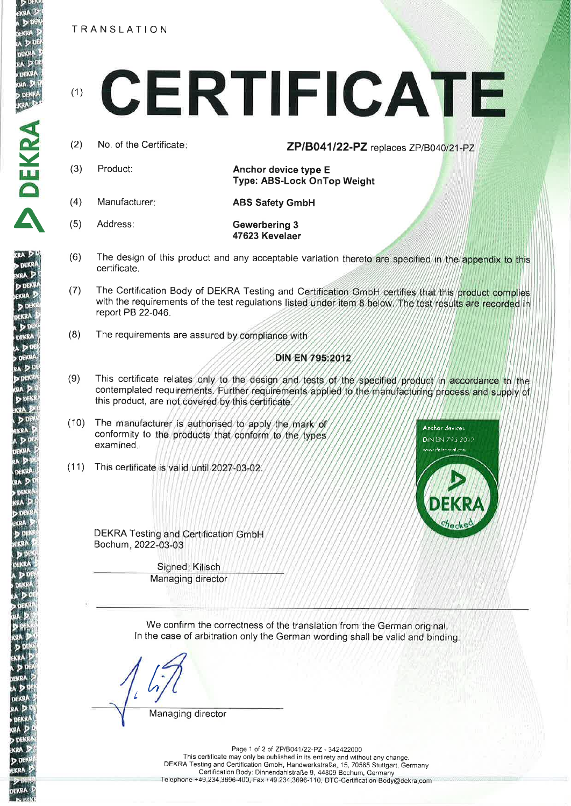**TRANSLATION** 

# CERTIFICATE  $(1)$

 $(2)$ No. of the Certificate:

ZP/B041/22-PZ replaces ZP/B040/21-PZ

Product: Anchor device type E Type: ABS-Lock OnTop Weight

 $(4)$ Manufacturer:

Address:

 $(3)$ 

 $(5)$ 

**ABS Safety GmbH** 

Gewerbering 3 47623 Kevelaer

- $(6)$ The design of this product and any acceptable variation thereto are specified in the appendix to this certificate.
- The Certification Body of DEKRA Testing and Certification GmbH certifies that this product complies  $(7)$ with the requirements of the test regulations listed under item 8 below. The test results are recorded in report PB 22-046.
- $(8)$ The requirements are assured by compliance with

## DIN EN 795:2012

- $(9)$ This certificate relates only to the design and tests of the specified product in accordance to the contemplated requirements. Further requirements applied to the manufacturing process and supply of this product, are not covered by this certificate.
- $(10)$ The manufacturer is authorised to apply the mark of conformity to the products that conform to the types examined.
- (11) This certificate is valid until 2027-03-02



DEKRA Testing and Certification GmbH Bochum, 2022-03-03

> Signed: Kilisch Managing director

We confirm the correctness of the translation from the German original. In the case of arbitration only the German wording shall be valid and binding.

Managing director

Page 1 of 2 of ZP/B041/22-PZ - 342422000 This certificate may only be published in its entirety and without any change. DEKRA Testing and Certification GmbH, Handwerkstraße, 15, 70565 Stuttgart, Germany<br>Certification Body: Dinnendahlstraße 9, 44809 Bochum, Germany<br>Telephone +49.234.3696-400, Fax +49.234.3696-110, DTC-Certification-Body@dekr